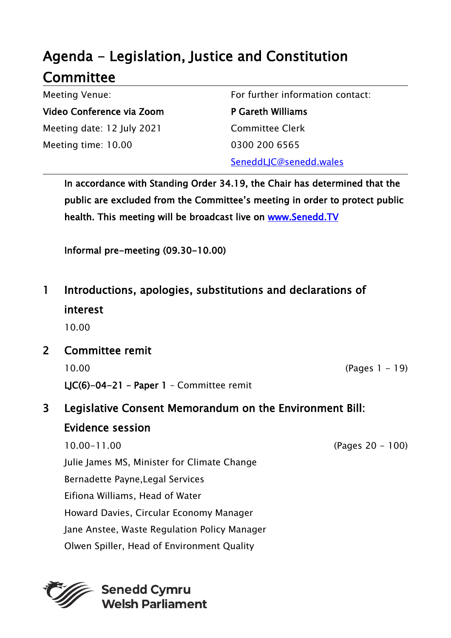## Agenda - Legislation, Justice and Constitution **Committee**

Meeting Venue: Video Conference via Zoom Meeting date: 12 July 2021 Meeting time: 10.00

For further information contact:

P Gareth Williams Committee Clerk 0300 200 6565 SeneddLJC@senedd.wales

In accordance with Standing Order 34.19, the Chair has determined that the public are excluded from the Committee's meeting in order to protect public health. This meeting will be broadcast live on www.Senedd.TV

Informal pre-meeting (09.30-10.00)

1 Introductions, apologies, substitutions and declarations of interest

10.00

2 Committee remit 10.00 (Pages 1 - 19)

LJC(6)-04-21 – Paper 1 – Committee remit

## 3 Legislative Consent Memorandum on the Environment Bill: Evidence session

10.00-11.00 (Pages 20 - 100) Julie James MS, Minister for Climate Change Bernadette Payne,Legal Services Eifiona Williams, Head of Water Howard Davies, Circular Economy Manager Jane Anstee, Waste Regulation Policy Manager Olwen Spiller, Head of Environment Quality



**Senedd Cymru Welsh Parliament**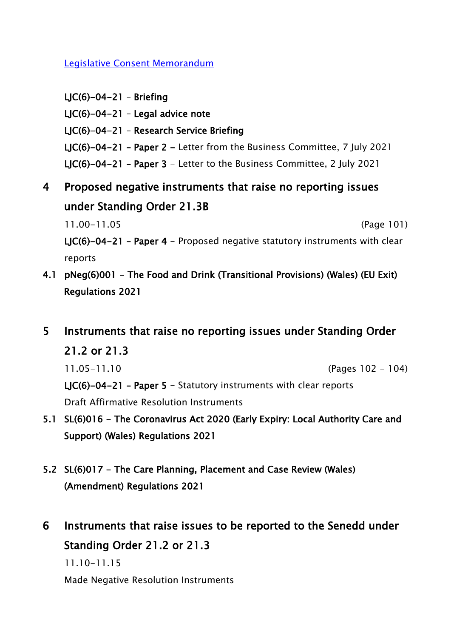[Legislative Consent Memorandum](https://senedd.wales/media/rvgngrjc/lcm-ld14385-e.pdf)

 $LJC(6)-04-21 - Briefing$ LJC(6)-04-21 – Legal advice note LJC(6)-04-21 – Research Service Briefing LJC(6)-04-21 – Paper 2 - Letter from the Business Committee, 7 July 2021 LJC(6)-04-21 – Paper 3 - Letter to the Business Committee, 2 July 2021

4 Proposed negative instruments that raise no reporting issues under Standing Order 21.3B

11.00-11.05 (Page 101)

LJC(6)-04-21 – Paper 4 - Proposed negative statutory instruments with clear reports

- 4.1 pNeg(6)001 The Food and Drink (Transitional Provisions) (Wales) (EU Exit) Regulations 2021
- 5 Instruments that raise no reporting issues under Standing Order

21.2 or 21.3

11.05-11.10 (Pages 102 - 104)

LIC(6)-04-21 - Paper 5 - Statutory instruments with clear reports Draft Affirmative Resolution Instruments

- 5.1 SL(6)016 The Coronavirus Act 2020 (Early Expiry: Local Authority Care and Support) (Wales) Regulations 2021
- 5.2 SL(6)017 The Care Planning, Placement and Case Review (Wales) (Amendment) Regulations 2021
- 6 Instruments that raise issues to be reported to the Senedd under Standing Order 21.2 or 21.3

11.10-11.15

Made Negative Resolution Instruments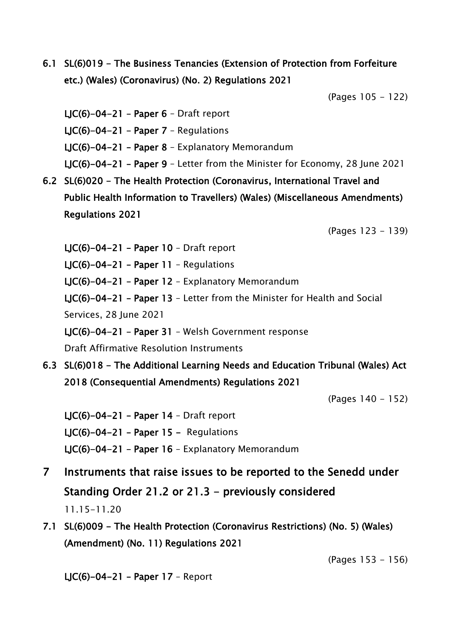6.1 SL(6)019 - The Business Tenancies (Extension of Protection from Forfeiture etc.) (Wales) (Coronavirus) (No. 2) Regulations 2021

(Pages 105 - 122)

LJC(6)-04-21 - Paper  $6$  - Draft report LJC(6)-04-21 - Paper  $7$  - Regulations LJC(6)-04-21 – Paper 8 – Explanatory Memorandum LJC(6)-04-21 – Paper 9 – Letter from the Minister for Economy, 28 June 2021

6.2 SL(6)020 - The Health Protection (Coronavirus, International Travel and Public Health Information to Travellers) (Wales) (Miscellaneous Amendments) Regulations 2021

(Pages 123 - 139)

LJC(6)-04-21 – Paper 10 – Draft report LJC(6)-04-21 – Paper 11 – Regulations LJC(6)-04-21 – Paper 12 – Explanatory Memorandum LJC(6)-04-21 – Paper 13 – Letter from the Minister for Health and Social Services, 28 June 2021 LJC(6)-04-21 – Paper 31 – Welsh Government response Draft Affirmative Resolution Instruments

6.3 SL(6)018 - The Additional Learning Needs and Education Tribunal (Wales) Act 2018 (Consequential Amendments) Regulations 2021

(Pages 140 - 152)

 $LJC(6)-04-21$  – Paper 14 – Draft report  $LJC(6)-04-21$  – Paper 15 – Regulations LJC(6)-04-21 – Paper 16 – Explanatory Memorandum

- 7 Instruments that raise issues to be reported to the Senedd under Standing Order 21.2 or 21.3 - previously considered 11.15-11.20
- 7.1 SL(6)009 The Health Protection (Coronavirus Restrictions) (No. 5) (Wales) (Amendment) (No. 11) Regulations 2021

(Pages 153 - 156)

LJC(6)-04-21 – Paper 17 – Report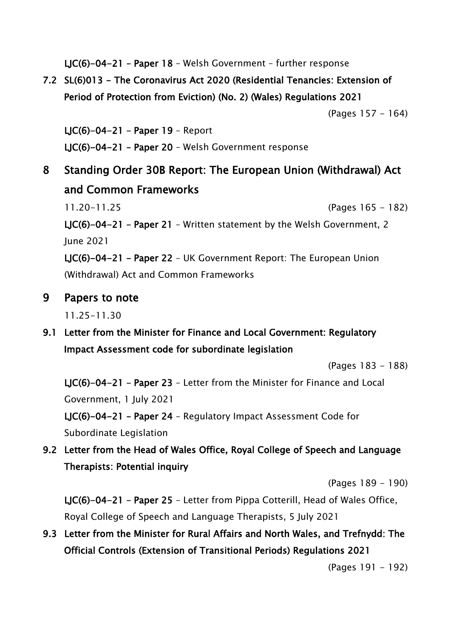LJC(6)-04-21 – Paper 18 – Welsh Government – further response

7.2 SL(6)013 - The Coronavirus Act 2020 (Residential Tenancies: Extension of Period of Protection from Eviction) (No. 2) (Wales) Regulations 2021

(Pages 157 - 164)

LJC(6)-04-21 – Paper 19 – Report LJC(6)-04-21 – Paper 20 – Welsh Government response

8 Standing Order 30B Report: The European Union (Withdrawal) Act and Common Frameworks

11.20-11.25 (Pages 165 - 182) LJC(6)-04-21 – Paper 21 – Written statement by the Welsh Government, 2 June 2021

LJC(6)-04-21 – Paper 22 – UK Government Report: The European Union (Withdrawal) Act and Common Frameworks

9 Papers to note

11.25-11.30

9.1 Letter from the Minister for Finance and Local Government: Regulatory Impact Assessment code for subordinate legislation

(Pages 183 - 188)

LJC(6)-04-21 – Paper 23 – Letter from the Minister for Finance and Local Government, 1 July 2021

LJC(6)-04-21 – Paper 24 – Regulatory Impact Assessment Code for Subordinate Legislation

9.2 Letter from the Head of Wales Office, Royal College of Speech and Language Therapists: Potential inquiry

(Pages 189 - 190)

LJC(6)-04-21 – Paper 25 – Letter from Pippa Cotterill, Head of Wales Office, Royal College of Speech and Language Therapists, 5 July 2021

9.3 Letter from the Minister for Rural Affairs and North Wales, and Trefnydd: The Official Controls (Extension of Transitional Periods) Regulations 2021

(Pages 191 - 192)